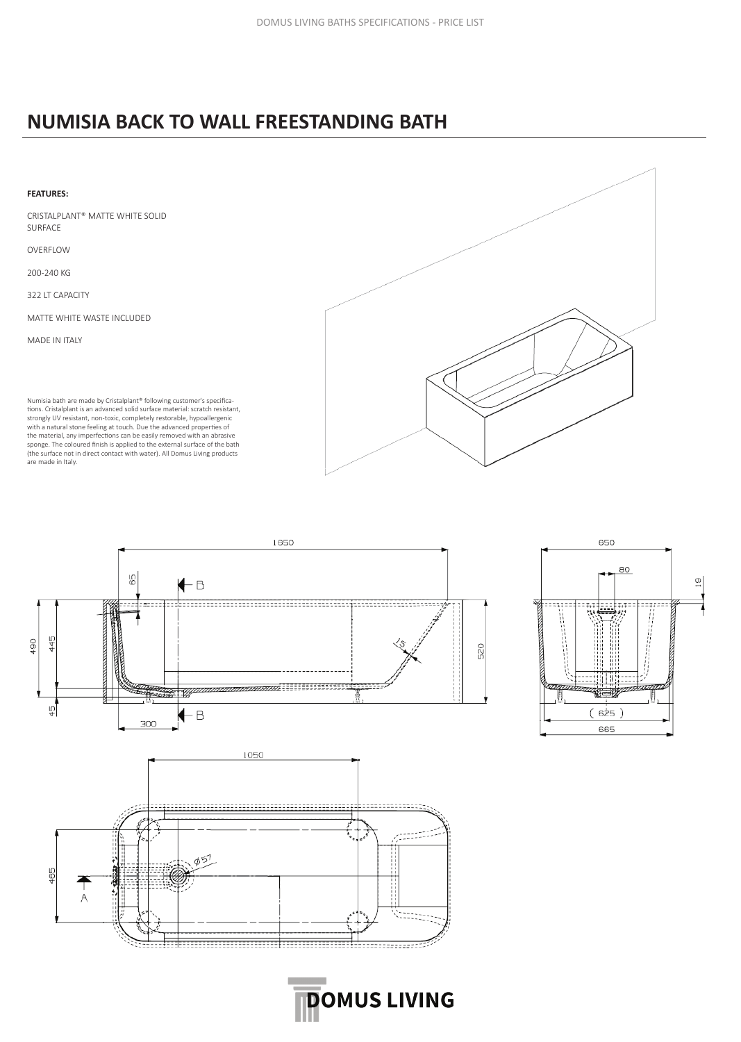## **NUMISIA BACK TO WALL FREESTANDING BATH**

## **FEATURES:**

CRISTALPLANT® MATTE WHITE SOLID SURFACE

OVERFLOW

200-240 KG

322 LT CAPACITY

MATTE WHITE WASTE INCLUDED

MADE IN ITALY

Numisia bath are made by Cristalplant® following customer's specifications. Cristalplant is an advanced solid surface material: scratch resistant, strongly UV resistant, non-toxic, completely restorable, hypoallergenic with a natural stone feeling at touch. Due the advanced properties of the material, any imperfections can be easily removed with an abrasive sponge. The coloured finish is applied to the external surface of the bath (the surface not in direct contact with water). All Domus Living products are made in Italy.





**DOMUS LIVING**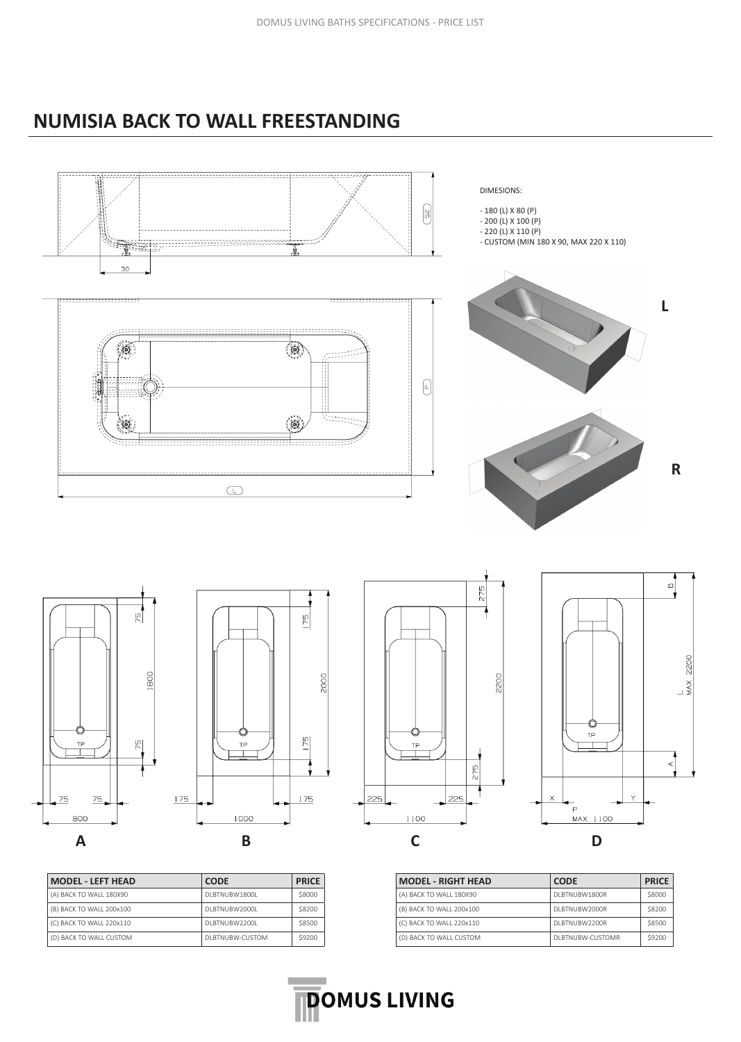## **NUMISIA BACK TO WALL FREESTANDING**



| <b>MODEL - LEFT HEAD</b> | <b>CODE</b>     | <b>PRICE</b> |
|--------------------------|-----------------|--------------|
| (A) BACK TO WALL 180X90  | DI BTNUBW1800L  | \$8000       |
| (B) BACK TO WALL 200x100 | DLBTNUBW2000L   | \$8200       |
| (C) BACK TO WALL 220x110 | DI BTNUBW2200L  | \$8500       |
| (D) BACK TO WALL CUSTOM  | DLBTNUBW-CUSTOM | \$9200       |
|                          |                 |              |

| <b>MODEL - RIGHT HEAD</b> | <b>CODE</b>       | <b>PRICE</b> |
|---------------------------|-------------------|--------------|
| (A) BACK TO WALL 180X90   | DI BTNUBW1800R    | \$8000       |
| (B) BACK TO WALL 200x100  | DI BTNUBW2000R    | \$8200       |
| (C) BACK TO WALL 220x110  | DI BTNUBW2200R    | \$8500       |
| (D) BACK TO WALL CUSTOM   | DI BTNUBW-CUSTOMR | \$9200       |